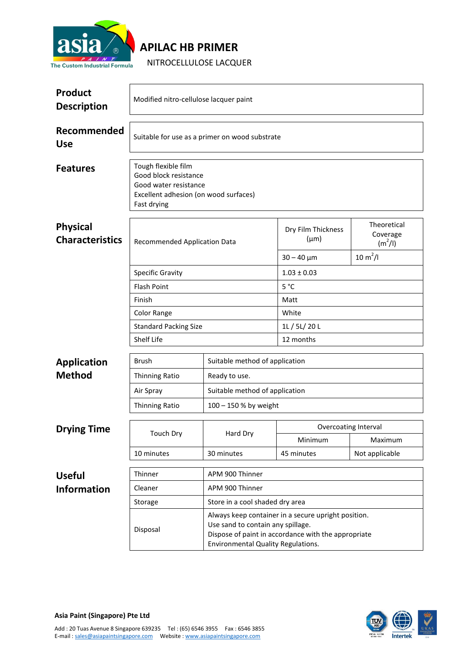

## **APILAC HB PRIMER**

NITROCELLULOSE LACQUER

| <b>Product</b><br><b>Description</b>      | Modified nitro-cellulose lacquer paint                                                                                        |                                                                                                                                                                                              |                                 |                                                            |  |  |
|-------------------------------------------|-------------------------------------------------------------------------------------------------------------------------------|----------------------------------------------------------------------------------------------------------------------------------------------------------------------------------------------|---------------------------------|------------------------------------------------------------|--|--|
| Recommended<br><b>Use</b>                 | Suitable for use as a primer on wood substrate                                                                                |                                                                                                                                                                                              |                                 |                                                            |  |  |
| <b>Features</b>                           | Tough flexible film<br>Good block resistance<br>Good water resistance<br>Excellent adhesion (on wood surfaces)<br>Fast drying |                                                                                                                                                                                              |                                 |                                                            |  |  |
| <b>Physical</b><br><b>Characteristics</b> | <b>Recommended Application Data</b>                                                                                           |                                                                                                                                                                                              | Dry Film Thickness<br>$(\mu m)$ | Theoretical<br>Coverage<br>$(m^2/l)$<br>$10 \text{ m}^2/l$ |  |  |
|                                           |                                                                                                                               |                                                                                                                                                                                              | $30 - 40 \mu m$                 |                                                            |  |  |
|                                           | <b>Specific Gravity</b>                                                                                                       |                                                                                                                                                                                              | $1.03 \pm 0.03$                 |                                                            |  |  |
|                                           | <b>Flash Point</b>                                                                                                            |                                                                                                                                                                                              | 5°C                             |                                                            |  |  |
|                                           | Finish                                                                                                                        |                                                                                                                                                                                              | Matt<br>White                   |                                                            |  |  |
|                                           | Color Range<br><b>Standard Packing Size</b>                                                                                   |                                                                                                                                                                                              | 1L / 5L/ 20 L                   |                                                            |  |  |
|                                           | Shelf Life                                                                                                                    |                                                                                                                                                                                              | 12 months                       |                                                            |  |  |
|                                           |                                                                                                                               |                                                                                                                                                                                              |                                 |                                                            |  |  |
| <b>Application</b>                        | <b>Brush</b>                                                                                                                  | Suitable method of application                                                                                                                                                               |                                 |                                                            |  |  |
| <b>Method</b>                             | <b>Thinning Ratio</b>                                                                                                         | Ready to use.                                                                                                                                                                                |                                 |                                                            |  |  |
|                                           | Air Spray                                                                                                                     |                                                                                                                                                                                              | Suitable method of application  |                                                            |  |  |
|                                           | <b>Thinning Ratio</b>                                                                                                         | 100 - 150 % by weight                                                                                                                                                                        |                                 |                                                            |  |  |
|                                           |                                                                                                                               |                                                                                                                                                                                              |                                 |                                                            |  |  |
| <b>Drying Time</b>                        | <b>Touch Dry</b><br>10 minutes                                                                                                | Hard Dry<br>30 minutes                                                                                                                                                                       | Overcoating Interval            |                                                            |  |  |
|                                           |                                                                                                                               |                                                                                                                                                                                              | Minimum<br>45 minutes           | Maximum<br>Not applicable                                  |  |  |
|                                           |                                                                                                                               |                                                                                                                                                                                              |                                 |                                                            |  |  |
| <b>Useful</b>                             | Thinner                                                                                                                       | APM 900 Thinner                                                                                                                                                                              |                                 |                                                            |  |  |
| <b>Information</b>                        | Cleaner                                                                                                                       | APM 900 Thinner                                                                                                                                                                              |                                 |                                                            |  |  |
|                                           | Storage                                                                                                                       | Store in a cool shaded dry area                                                                                                                                                              |                                 |                                                            |  |  |
|                                           | Disposal                                                                                                                      | Always keep container in a secure upright position.<br>Use sand to contain any spillage.<br>Dispose of paint in accordance with the appropriate<br><b>Environmental Quality Regulations.</b> |                                 |                                                            |  |  |